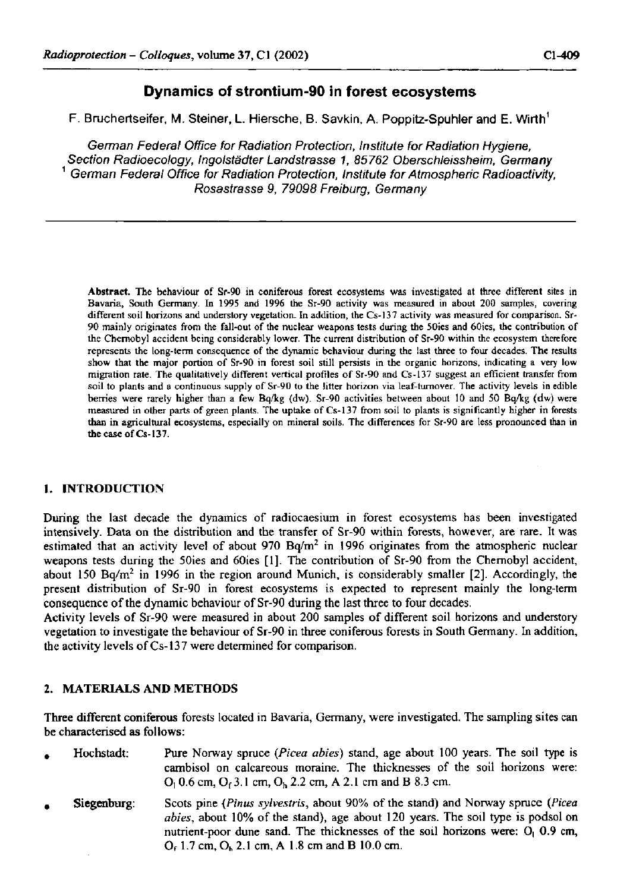## **Dynamics of strontium-90 in forest ecosystems**

F. Bruchertseifer, M. Steiner, L. Hiersche, B. Savkin, A. Poppitz-Spuhler and E. Wirth<sup>1</sup>

*German Federal Office for Radiation Protection, Institute for Radiation Hygiene, Section Radioecology, fngolstädter Landstrasse 1, 85762 Oberschleissheim, Germany 1 German Federal Office for Radiation Protection, Institute for Atmospheric Radioactivity, Rosastrasse 9, 79098 Freiburg, Germany* 

**Abstract. The behaviour of Sr-90 in coniferous forest ecosystems was investigated at three different sites in Bavaria, South Germany. In 1995 and 1996 the Sr-90 activity was measured in about 200 samples, covering different soil horizons and understory vegetation. In addition, the Cs-137 activity was measured for comparison. Sr-90 mainly originates from the fall-out of the nuclear weapons tests during the 50ies and 60ies, the contribution of the Chernobyl accident being considerably lower. The current distribution of Sr-90 within the ecosystem therefore represents the long-term consequence of the dynamic behaviour during the last three to four decades. The results show that the major portion of Sr-90 in forest soil still persists in the organic horizons, indicating a very low migration rate. The qualitatively different vertical profiles of Sr-90 and Cs-137 suggest an efficient transfer from soil to plants and a continuous supply of Sr-90 to the litter horizon via leaf-turnover. The activity levels in edible berries were rarely higher than a few Bq/kg (dw). Sr-90 activities between about 10 and 50 Bq/kg (dw) were measured in other parts of green plants. The uptake of Cs-137 from soil to plants is significantly higher in forests than in agricultural ecosystems, especially on mineral soils. The differences for Sr-90 are less pronounced than in the case of Cs-137.** 

## **1.** INTRODUCTION

During the last decade the dynamics of radiocaesium in forest ecosystems has been investigated intensively. Data on the distribution and the transfer of Sr-90 within forests, however, are rare. It was estimated that an activity level of about  $970 Bq/m^2$  in 1996 originates from the atmospheric nuclear weapons tests during the 50ies and 60ies [1]. The contribution of Sr-90 from the Chernobyl accident, about 150 Bq/m<sup>2</sup> in 1996 in the region around Munich, is considerably smaller [2]. Accordingly, the present distribution of Sr-90 in forest ecosystems is expected to represent mainly the long-term consequence of the dynamic behaviour of Sr-90 during the last three to four decades.

Activity levels of Sr-90 were measured in about 200 samples of different soil horizons and understory vegetation to investigate the behaviour of Sr-90 in three coniferous forests in South Germany. In addition, the activity levels of Cs-137 were determined for comparison.

## **2.** MATERIALS AND METHODS

Three different coniferous forests located in Bavaria, Germany, were investigated. The sampling sites can be characterised as follows:

- , Hochstadt: Pure Norway spruce *(Picea abies)* stand, age about 100 years. The soil type is cambisol on calcareous moraine. The thicknesses of the soil horizons were:  $O_1$  0.6 cm,  $O_1$  3.1 cm,  $O_b$  2.2 cm, A 2.1 cm and B 8.3 cm.
- , Siegenburg: Scots pine *{Pinus sylvestris,* about 90% of the stand) and Norway spruce *(Picea abies,* about 10% of the stand), age about 120 years. The soil type is podsol on nutrient-poor dune sand. The thicknesses of the soil horizons were:  $O<sub>1</sub> 0.9$  cm, Of 1.7 cm, Oh 2.1 cm, A 1.8 cm and B 10.0 cm.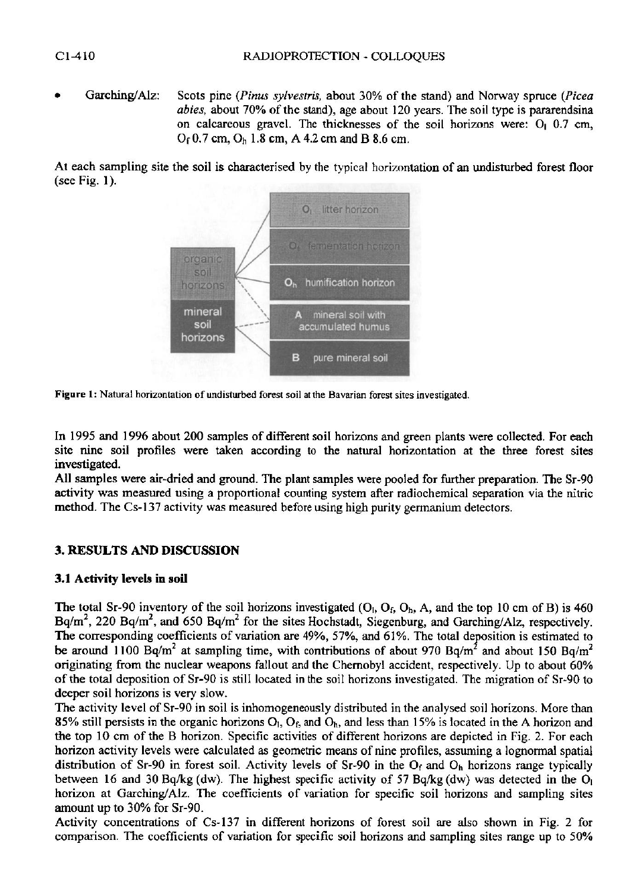• Garching/Alz: Scots pine *(Pinus sylvestris,* about 30% of the stand) and Norway spruce *(Picea abies,* about 70% of the stand), age about 120 years. The soil type is pararendsina on calcareous gravel. The thicknesses of the soil horizons were:  $Q_1$  0.7 cm, Of 0.7 cm, On 1.8 cm, A 4.2 cm and B 8.6 cm.

At each sampling site the soil is characterised by the typical horizontation of an undisturbed forest floor (see Fig. 1).



**Figure** 1: **Natural horizontation of undisturbed forest soil at the Bavarian forest sites investigated.** 

In 1995 and 1996 about 200 samples of different soil horizons and green plants were collected. For each site nine soil profiles were taken according to the natural horizontation at the three forest sites investigated.

**All** samples were air-dried and ground. The plant samples were pooled for further preparation. The Sr-90 activity was measured using a proportional counting system after radiochemical separation via the nitric method. The Cs-137 activity was measured before using high purity germanium detectors.

## **3.** RESULTS AND DISCUSSION

## **3.1** Activity levels in soil

The total Sr-90 inventory of the soil horizons investigated  $(O<sub>1</sub>, O<sub>1</sub>, O<sub>1</sub>, A$ , and the top 10 cm of B) is 460 Bq/m<sup>2</sup>, 220 Bq/m<sup>2</sup>, and 650 Bq/m<sup>2</sup> for the sites Hochstadt, Siegenburg, and Garching/Alz, respectively. The corresponding coefficients of variation are 49%, 57%, and 61%. The total deposition is estimated to be around 1100 Bq/m<sup>2</sup> at sampling time, with contributions of about 970 Bq/m<sup>2</sup> and about 150 Bq/m<sup>2</sup> originating from the nuclear weapons fallout and the Chernobyl accident, respectively. Up to about 60% of the total deposition of Sr-90 is still located in the soil horizons investigated. The migration of Sr-90 to deeper soil horizons is very slow.

The activity level of Sr-90 in soil is inhomogeneously distributed in the analysed soil horizons. More than 85% still persists in the organic horizons  $O<sub>1</sub>$ ,  $O<sub>f</sub>$ , and  $O<sub>h</sub>$ , and less than 15% is located in the A horizon and the top 10 cm of the B horizon. Specific activities of different horizons are depicted in Fig. 2. For each horizon activity levels were calculated as geometric means of nine profiles, assuming a lognormal spatial distribution of Sr-90 in forest soil. Activity levels of Sr-90 in the  $O_f$  and  $O_h$  horizons range typically between 16 and 30 Bq/kg (dw). The highest specific activity of 57 Bq/kg (dw) was detected in the  $O<sub>1</sub>$ horizon at Garching/Alz. The coefficients of variation for specific soil horizons and sampling sites amount up to 30% for Sr-90.

Activity concentrations of Cs-137 in different horizons of forest soil are also shown in Fig. 2 for comparison. The coefficients of variation for specific soil horizons and sampling sites range up to 50%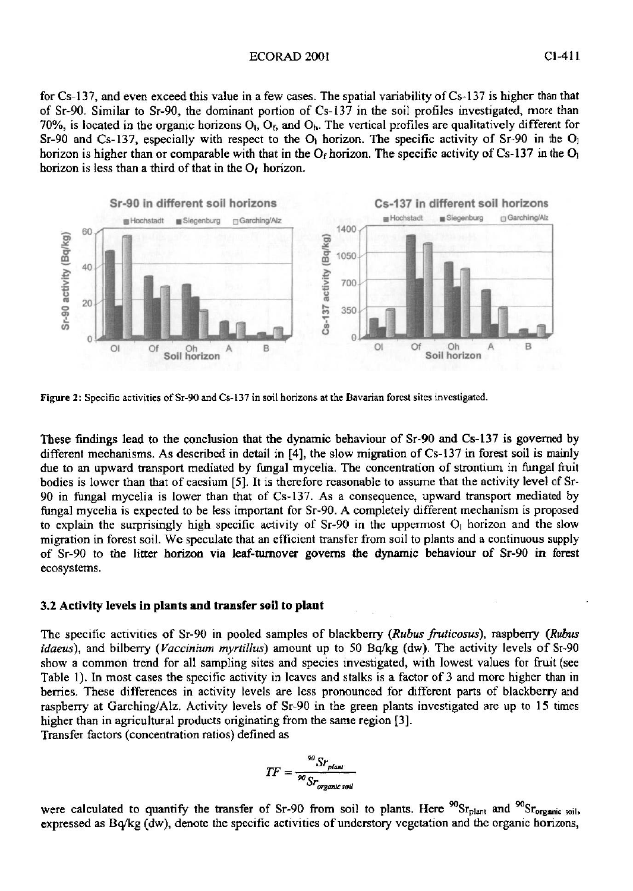#### ECORAD 200! CI-411

for Cs-137, and even exceed this value in a few cases. The spatial variability of Cs-137 is higher than that of Sr-90. Similar to Sr-90, the dominant portion of Cs-137 in the soil profiles investigated, more than 70%, is located in the organic horizons  $O_h$ ,  $O_f$ , and  $O_h$ . The vertical profiles are qualitatively different for  $Sr-90$  and  $Cs-137$ , especially with respect to the O<sub>1</sub> horizon. The specific activity of  $Sr-90$  in the O<sub>1</sub> horizon is higher than or comparable with that in the  $O<sub>f</sub>$  horizon. The specific activity of Cs-137 in the  $O<sub>i</sub>$ horizon is less than a third of that in the  $O<sub>f</sub>$  horizon.



**Figure 2 : Specific activities of Sr-90 and Cs-137 in soil horizons at the Bavarian forest sites investigated.** 

These findings lead to the conclusion that the dynamic behaviour of Sr-90 and Cs-137 is governed by different mechanisms. As described in detail in [4], the slow migration of Cs-137 in forest soil is mainly due to an upward transport mediated by fungal mycelia. The concentration of strontium in fungal fruit bodies is lower than that of caesium [5]. It is therefore reasonable to assume that the activity level of Sr-90 in fungal mycelia is lower than that of Cs-137. As a consequence, upward transport mediated by fungal mycelia is expected to be less important for Sr-90. A completely different mechanism is proposed to explain the surprisingly high specific activity of Sr-90 in the uppermost **Oi** horizon and the slow migration in forest soil. We speculate that an efficient transfer from soil to plants and a continuous supply of Sr-90 to the litter horizon via leaf-turnover governs the dynamic behaviour of Sr-90 in forest ecosystems.

### 3.2 **Activity levels in plants and transfer soil to plant**

The specific activities of Sr-90 in pooled samples of blackberry *(Rubus fruticosus),* raspberry *(Rubus idaeus),* and bilberry *(Vaccinium myrtillus)* amount up to 50 Bq/kg (dw). The activity levels of Sr-90 show a common trend for all sampling sites and species investigated, with lowest values for fruit (see Table 1). In most cases the specific activity in leaves and stalks is a factor of 3 and more higher than in berries. These differences in activity levels are less pronounced for different parts of blackberry and raspberry at Garching/Alz. Activity levels of Sr-90 in the green plants investigated are up to 15 times higher than in agricultural products originating from the same region [3].

Transfer factors (concentration ratios) defined as

$$
TF = \frac{{}^{90}Sr_{plan}}{^{90}Sr_{organic\,sol}}
$$

were calculated to quantify the transfer of Sr-90 from soil to plants. Here <sup>90</sup>Sr<sub>plant</sub> and <sup>90</sup>Sr<sub>organic soil</sub>, expressed as Bq/kg (dw), denote the specific activities of understory vegetation and the organic horizons,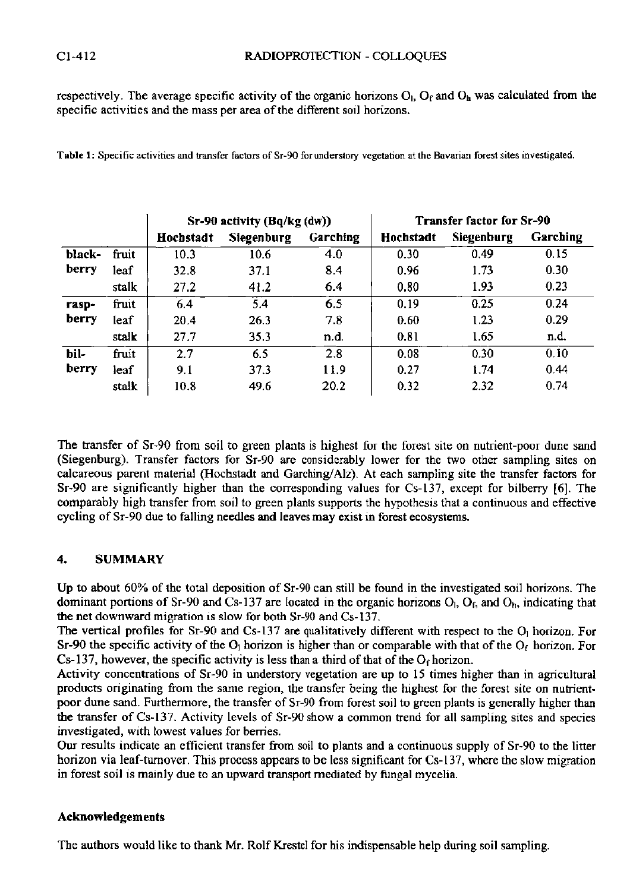respectively. The average specific activity of the organic horizons  $O<sub>1</sub>$ ,  $O<sub>f</sub>$  and  $O<sub>h</sub>$  was calculated from the specific activities and the mass per area of the different soil horizons.

|        |       | Sr-90 activity (Bq/kg (dw)) |            |          | <b>Transfer factor for Sr-90</b> |            |          |
|--------|-------|-----------------------------|------------|----------|----------------------------------|------------|----------|
|        |       | Hochstadt                   | Siegenburg | Garching | Hochstadt                        | Siegenburg | Garching |
| black- | fruit | 10.3                        | 10.6       | 4.0      | 0.30                             | 0.49       | 0.15     |
| berry  | leaf  | 32.8                        | 37.1       | 8.4      | 0.96                             | 1.73       | 0.30     |
|        | stalk | 27.2                        | 41.2       | 6.4      | 0.80                             | 1.93       | 0.23     |
| rasp-  | fruit | 6.4                         | 5.4        | 6.5      | 0.19                             | 0.25       | 0.24     |
| berry  | leaf  | 20.4                        | 26.3       | 7.8      | 0.60                             | 1.23       | 0.29     |
|        | stalk | 27.7                        | 35.3       | n.d.     | 0.81                             | 1.65       | n.d.     |
| bil-   | fruit | 2.7                         | 6.5        | 2.8      | 0.08                             | 0.30       | 0.10     |
| berry  | leaf  | 9.1                         | 37.3       | 11.9     | 0.27                             | 1.74       | 0.44     |
|        | stalk | 10.8                        | 49.6       | 20.2     | 0.32                             | 2.32       | 0.74     |

**Table 1 : Specific activities and transfer factors of Sr-90 for understory vegetation at the Bavarian forest sites investigated.** 

The transfer of Sr-90 from soil to green plants is highest for the forest site on nutrient-poor dune sand (Siegenburg). Transfer factors for Sr-90 are considerably lower for the two other sampling sites on calcareous parent material (Hochstadt and Garching/Alz). At each sampling site the transfer factors for Sr-90 are significantly higher than the corresponding values for Cs-137, except for bilberry [6]. The comparably high transfer from soil to green plants supports the hypothesis that a continuous and effective cycling of Sr-90 due to falling needles and leaves may exist in forest ecosystems.

## **4.** SUMMARY

Up to about 60% of the total deposition of Sr-90 can still be found in the investigated soil horizons. The dominant portions of Sr-90 and Cs-137 are located in the organic horizons  $O_i$ ,  $O_f$ , and  $O_b$ , indicating that the net downward migration is slow for both Sr-90 and Cs-137.

The vertical profiles for Sr-90 and Cs-137 are qualitatively different with respect to the O<sub>1</sub> horizon. For Sr-90 the specific activity of the  $O<sub>1</sub>$  horizon is higher than or comparable with that of the  $O<sub>f</sub>$  horizon. For  $Cs-137$ , however, the specific activity is less than a third of that of the  $O<sub>f</sub>$  horizon.

Activity concentrations of Sr-90 in understory vegetation are up to 15 times higher than in agricultural products originating from the same region, the transfer being the highest for the forest site on nutrientpoor dune sand. Furthermore, the transfer of Sr-90 from forest soil to green plants is generally higher than the transfer of Cs-137. Activity levels of Sr-90 show a common trend for all sampling sites and species investigated, with lowest values for berries.

Our results indicate an efficient transfer from soil to plants and a continuous supply of Sr-90 to the litter horizon via leaf-turnover. This process appears to be less significant for Cs-137, where the slow migration in forest soil is mainly due to an upward transport mediated by fungal mycelia.

## **Acknowledgements**

The authors would like to thank Mr. Rolf Krestel for his indispensable help during soil sampling.